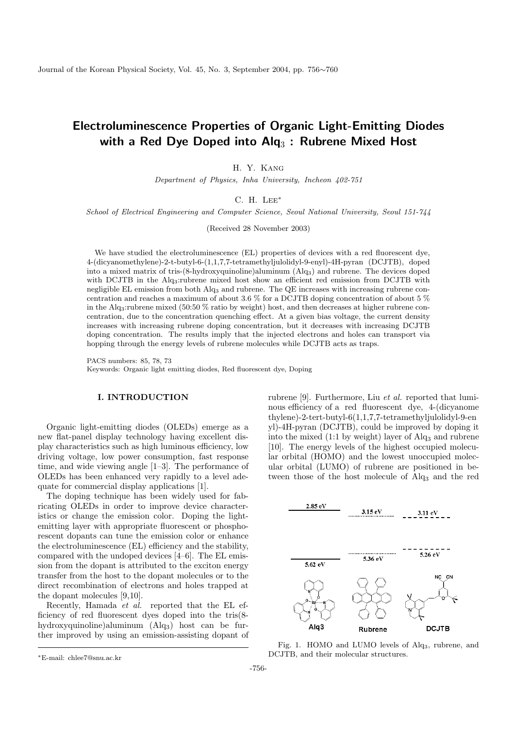# Electroluminescence Properties of Organic Light-Emitting Diodes with a Red Dye Doped into  $\mathsf{Alg}_3$  : Rubrene Mixed Host

H. Y. Kang

Department of Physics, Inha University, Incheon 402-751

C. H. Lee<sup>∗</sup>

School of Electrical Engineering and Computer Science, Seoul National University, Seoul 151-744

(Received 28 November 2003)

We have studied the electroluminescence (EL) properties of devices with a red fluorescent dye, 4-(dicyanomethylene)-2-t-butyl-6-(1,1,7,7-tetramethyljulolidyl-9-enyl)-4H-pyran (DCJTB), doped into a mixed matrix of tris-(8-hydroxyquinoline)aluminum (Alq3) and rubrene. The devices doped with DCJTB in the Alq3:rubrene mixed host show an efficient red emission from DCJTB with negligible EL emission from both Alq<sub>3</sub> and rubrene. The QE increases with increasing rubrene concentration and reaches a maximum of about 3.6 % for a DCJTB doping concentration of about 5 % in the Alq<sub>3</sub>:rubrene mixed (50:50 % ratio by weight) host, and then decreases at higher rubrene concentration, due to the concentration quenching effect. At a given bias voltage, the current density increases with increasing rubrene doping concentration, but it decreases with increasing DCJTB doping concentration. The results imply that the injected electrons and holes can transport via hopping through the energy levels of rubrene molecules while DCJTB acts as traps.

PACS numbers: 85, 78, 73 Keywords: Organic light emitting diodes, Red fluorescent dye, Doping

#### I. INTRODUCTION

Organic light-emitting diodes (OLEDs) emerge as a new flat-panel display technology having excellent display characteristics such as high luminous efficiency, low driving voltage, low power consumption, fast response time, and wide viewing angle [1–3]. The performance of OLEDs has been enhanced very rapidly to a level adequate for commercial display applications [1].

The doping technique has been widely used for fabricating OLEDs in order to improve device characteristics or change the emission color. Doping the lightemitting layer with appropriate fluorescent or phosphorescent dopants can tune the emission color or enhance the electroluminescence (EL) efficiency and the stability, compared with the undoped devices [4–6]. The EL emission from the dopant is attributed to the exciton energy transfer from the host to the dopant molecules or to the direct recombination of electrons and holes trapped at the dopant molecules [9,10].

Recently, Hamada et al. reported that the EL efficiency of red fluorescent dyes doped into the tris(8 hydroxyquinoline)aluminum (Alq3) host can be further improved by using an emission-assisting dopant of rubrene [9]. Furthermore, Liu et al. reported that luminous efficiency of a red fluorescent dye, 4-(dicyanome thylene)-2-tert-butyl-6(1,1,7,7-tetramethyljulolidyl-9-en yl)-4H-pyran (DCJTB), could be improved by doping it into the mixed  $(1:1$  by weight) layer of  $\text{Alg}_3$  and rubrene [10]. The energy levels of the highest occupied molecular orbital (HOMO) and the lowest unoccupied molecular orbital (LUMO) of rubrene are positioned in between those of the host molecule of Alq<sup>3</sup> and the red



Fig. 1. HOMO and LUMO levels of Alq3, rubrene, and DCJTB, and their molecular structures.

<sup>∗</sup>E-mail: chlee7@snu.ac.kr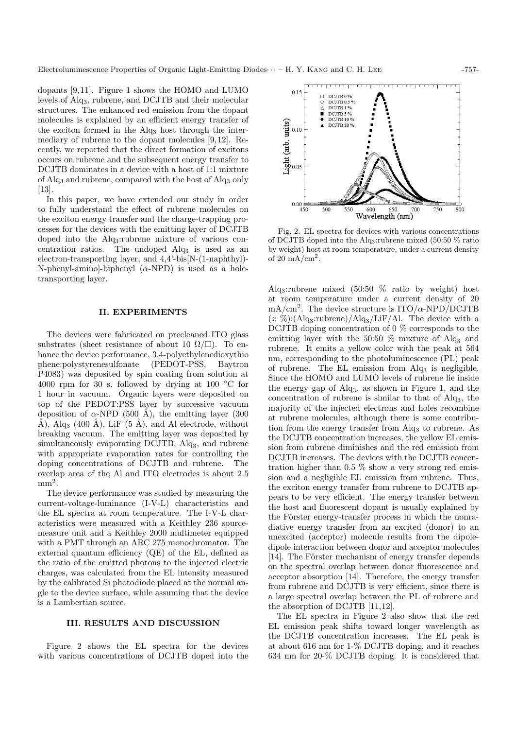dopants [9,11]. Figure 1 shows the HOMO and LUMO levels of Alq3, rubrene, and DCJTB and their molecular structures. The enhanced red emission from the dopant molecules is explained by an efficient energy transfer of the exciton formed in the  $\text{Alg}_3$  host through the intermediary of rubrene to the dopant molecules [9,12]. Recently, we reported that the direct formation of excitons occurs on rubrene and the subsequent energy transfer to DCJTB dominates in a device with a host of 1:1 mixture of Alq<sup>3</sup> and rubrene, compared with the host of Alq<sup>3</sup> only [13].

In this paper, we have extended our study in order to fully understand the effect of rubrene molecules on the exciton energy transfer and the charge-trapping processes for the devices with the emitting layer of DCJTB doped into the Alq3:rubrene mixture of various concentration ratios. The undoped  $\text{Alg}_3$  is used as an electron-transporting layer, and 4,4'-bis[N-(1-naphthyl)- N-phenyl-amino]-biphenyl  $(\alpha$ -NPD) is used as a holetransporting layer.

## II. EXPERIMENTS

The devices were fabricated on precleaned ITO glass substrates (sheet resistance of about 10  $\Omega/\square$ ). To enhance the device performance, 3,4-polyethylenedioxythio phene:polystyrenesulfonate (PEDOT-PSS, Baytron P4083) was deposited by spin coating from solution at 4000 rpm for 30 s, followed by drying at 100  $\degree$ C for 1 hour in vacuum. Organic layers were deposited on top of the PEDOT:PSS layer by successive vacuum deposition of  $\alpha$ -NPD (500 Å), the emitting layer (300 Å), Alq<sub>3</sub> (400 Å), LiF (5 Å), and Al electrode, without breaking vacuum. The emitting layer was deposited by simultaneously evaporating DCJTB, Alq<sub>3</sub>, and rubrene with appropriate evaporation rates for controlling the doping concentrations of DCJTB and rubrene. The overlap area of the Al and ITO electrodes is about 2.5  $mm<sup>2</sup>$ .

The device performance was studied by measuring the current-voltage-luminance (I-V-L) characteristics and the EL spectra at room temperature. The I-V-L characteristics were measured with a Keithley 236 sourcemeasure unit and a Keithley 2000 multimeter equipped with a PMT through an ARC 275 monochromator. The external quantum efficiency (QE) of the EL, defined as the ratio of the emitted photons to the injected electric charges, was calculated from the EL intensity measured by the calibrated Si photodiode placed at the normal angle to the device surface, while assuming that the device is a Lambertian source.

### III. RESULTS AND DISCUSSION

Figure 2 shows the EL spectra for the devices with various concentrations of DCJTB doped into the



Fig. 2. EL spectra for devices with various concentrations of DCJTB doped into the Alq3:rubrene mixed (50:50 % ratio by weight) host at room temperature, under a current density of  $20 \text{ mA/cm}^2$ .

Alq3:rubrene mixed (50:50 % ratio by weight) host at room temperature under a current density of 20  $mA/cm<sup>2</sup>$ . The device structure is  $ITO/\alpha$ -NPD/DCJTB  $(x \%)$ :(Alq<sub>3</sub>:rubrene)/Alq<sub>3</sub>/LiF/Al. The device with a DCJTB doping concentration of 0 % corresponds to the emitting layer with the 50:50  $\%$  mixture of Alq<sub>3</sub> and rubrene. It emits a yellow color with the peak at 564 nm, corresponding to the photoluminescence (PL) peak of rubrene. The EL emission from  $\text{Al}q_3$  is negligible. Since the HOMO and LUMO levels of rubrene lie inside the energy gap of Alq3, as shown in Figure 1, and the concentration of rubrene is similar to that of Alq3, the majority of the injected electrons and holes recombine at rubrene molecules, although there is some contribution from the energy transfer from Alq<sub>3</sub> to rubrene. As the DCJTB concentration increases, the yellow EL emission from rubrene diminishes and the red emission from DCJTB increases. The devices with the DCJTB concentration higher than 0.5 % show a very strong red emission and a negligible EL emission from rubrene. Thus, the exciton energy transfer from rubrene to DCJTB appears to be very efficient. The energy transfer between the host and fluorescent dopant is usually explained by the Förster energy-transfer process in which the nonradiative energy transfer from an excited (donor) to an unexcited (acceptor) molecule results from the dipoledipole interaction between donor and acceptor molecules [14]. The Förster mechanism of energy transfer depends on the spectral overlap between donor fluorescence and acceptor absorption [14]. Therefore, the energy transfer from rubrene and DCJTB is very efficient, since there is a large spectral overlap between the PL of rubrene and the absorption of DCJTB [11,12].

The EL spectra in Figure 2 also show that the red EL emission peak shifts toward longer wavelength as the DCJTB concentration increases. The EL peak is at about 616 nm for 1-% DCJTB doping, and it reaches 634 nm for 20-% DCJTB doping. It is considered that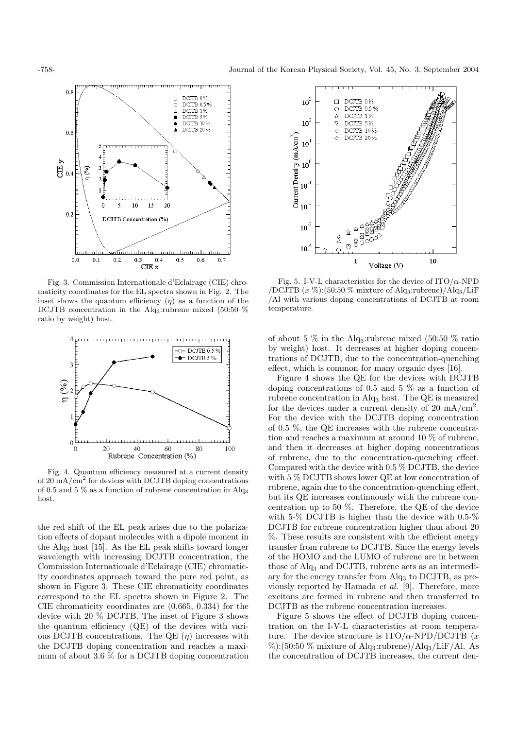

Fig. 3. Commission Internationale d'Eclairage (CIE) chromaticity coordinates for the EL spectra shown in Fig. 2. The inset shows the quantum efficiency  $(\eta)$  as a function of the DCJTB concentration in the Alq<sub>3</sub>:rubrene mixed (50:50 %) ratio by weight) host.



Fig. 4. Quantum efficiency measured at a current density of 20 mA/cm<sup>2</sup> for devices with DCJTB doping concentrations of 0.5 and 5  $\%$  as a function of rubrene concentration in Alq<sub>3</sub> host.

the red shift of the EL peak arises due to the polarization effects of dopant molecules with a dipole moment in the Alq<sup>3</sup> host [15]. As the EL peak shifts toward longer wavelength with increasing DCJTB concentration, the Commission Internationale d'Eclairage (CIE) chromaticity coordinates approach toward the pure red point, as shown in Figure 3. These CIE chromaticity coordinates correspond to the EL spectra shown in Figure 2. The CIE chromaticity coordinates are (0.665, 0.334) for the device with 20 % DCJTB. The inset of Figure 3 shows the quantum efficiency (QE) of the devices with various DCJTB concentrations. The QE  $(\eta)$  increases with the DCJTB doping concentration and reaches a maximum of about 3.6 % for a DCJTB doping concentration



Fig. 5. I-V-L characteristics for the device of  $ITO/\alpha$ -NPD /DCJTB  $(x\%)$ :(50:50 % mixture of Alq<sub>3</sub>:rubrene)/Alq<sub>3</sub>/LiF /Al with various doping concentrations of DCJTB at room temperature.

of about 5  $\%$  in the Alq<sub>3</sub>: rubrene mixed (50:50  $\%$  ratio by weight) host. It decreases at higher doping concentrations of DCJTB, due to the concentration-quenching effect, which is common for many organic dyes [16].

Figure 4 shows the QE for the devices with DCJTB doping concentrations of 0.5 and 5 % as a function of rubrene concentration in Alq<sup>3</sup> host. The QE is measured for the devices under a current density of 20 mA/cm<sup>2</sup>. For the device with the DCJTB doping concentration of 0.5 %, the QE increases with the rubrene concentration and reaches a maximum at around 10 % of rubrene, and then it decreases at higher doping concentrations of rubrene, due to the concentration-quenching effect. Compared with the device with 0.5 % DCJTB, the device with 5 % DCJTB shows lower QE at low concentration of rubrene, again due to the concentration-quenching effect, but its QE increases continuously with the rubrene concentration up to 50 %. Therefore, the QE of the device with 5-% DCJTB is higher than the device with 0.5-% DCJTB for rubrene concentration higher than about 20 %. These results are consistent with the efficient energy transfer from rubrene to DCJTB. Since the energy levels of the HOMO and the LUMO of rubrene are in between those of Alq<sup>3</sup> and DCJTB, rubrene acts as an intermediary for the energy transfer from Alq<sup>3</sup> to DCJTB, as previously reported by Hamada et al. [9]. Therefore, more excitons are formed in rubrene and then transferred to DCJTB as the rubrene concentration increases.

Figure 5 shows the effect of DCJTB doping concentration on the I-V-L characteristics at room temperature. The device structure is  $ITO/\alpha$ -NPD/DCJTB  $(x)$ %):(50:50 % mixture of Alq<sub>3</sub>:rubrene)/Alq<sub>3</sub>/LiF/Al. As the concentration of DCJTB increases, the current den-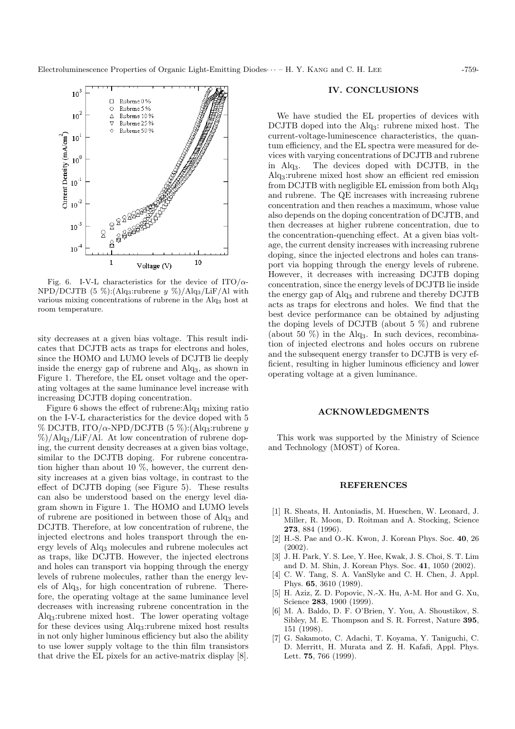

Fig. 6. I-V-L characteristics for the device of ITO/ $\alpha$ - $NPD/DCJTB$  (5 %):(Alq<sub>3</sub>:rubrene y %)/Alq<sub>3</sub>/LiF/Al with various mixing concentrations of rubrene in the Alq<sup>3</sup> host at room temperature.

sity decreases at a given bias voltage. This result indicates that DCJTB acts as traps for electrons and holes, since the HOMO and LUMO levels of DCJTB lie deeply inside the energy gap of rubrene and Alq3, as shown in Figure 1. Therefore, the EL onset voltage and the operating voltages at the same luminance level increase with increasing DCJTB doping concentration.

Figure 6 shows the effect of rubrene: $\text{Alg}_3$  mixing ratio on the I-V-L characteristics for the device doped with 5 % DCJTB, ITO/ $\alpha$ -NPD/DCJTB (5 %):(Alq<sub>3</sub>:rubrene y  $\%/$ Alq<sub>3</sub>/LiF/Al. At low concentration of rubrene doping, the current density decreases at a given bias voltage, similar to the DCJTB doping. For rubrene concentration higher than about 10 %, however, the current density increases at a given bias voltage, in contrast to the effect of DCJTB doping (see Figure 5). These results can also be understood based on the energy level diagram shown in Figure 1. The HOMO and LUMO levels of rubrene are positioned in between those of Alq<sup>3</sup> and DCJTB. Therefore, at low concentration of rubrene, the injected electrons and holes transport through the energy levels of Alq<sup>3</sup> molecules and rubrene molecules act as traps, like DCJTB. However, the injected electrons and holes can transport via hopping through the energy levels of rubrene molecules, rather than the energy levels of Alq3, for high concentration of rubrene. Therefore, the operating voltage at the same luminance level decreases with increasing rubrene concentration in the Alq3:rubrene mixed host. The lower operating voltage for these devices using Alq3:rubrene mixed host results in not only higher luminous efficiency but also the ability to use lower supply voltage to the thin film transistors that drive the EL pixels for an active-matrix display [8].

## IV. CONCLUSIONS

We have studied the EL properties of devices with DCJTB doped into the Alq<sub>3</sub>: rubrene mixed host. The current-voltage-luminescence characteristics, the quantum efficiency, and the EL spectra were measured for devices with varying concentrations of DCJTB and rubrene in Alq3. The devices doped with DCJTB, in the Alq3:rubrene mixed host show an efficient red emission from DCJTB with negligible EL emission from both Alq<sup>3</sup> and rubrene. The QE increases with increasing rubrene concentration and then reaches a maximum, whose value also depends on the doping concentration of DCJTB, and then decreases at higher rubrene concentration, due to the concentration-quenching effect. At a given bias voltage, the current density increases with increasing rubrene doping, since the injected electrons and holes can transport via hopping through the energy levels of rubrene. However, it decreases with increasing DCJTB doping concentration, since the energy levels of DCJTB lie inside the energy gap of Alq<sup>3</sup> and rubrene and thereby DCJTB acts as traps for electrons and holes. We find that the best device performance can be obtained by adjusting the doping levels of DCJTB (about 5 %) and rubrene (about 50  $\%$ ) in the Alq<sub>3</sub>. In such devices, recombination of injected electrons and holes occurs on rubrene and the subsequent energy transfer to DCJTB is very efficient, resulting in higher luminous efficiency and lower operating voltage at a given luminance.

#### ACKNOWLEDGMENTS

This work was supported by the Ministry of Science and Technology (MOST) of Korea.

#### REFERENCES

- [1] R. Sheats, H. Antoniadis, M. Hueschen, W. Leonard, J. Miller, R. Moon, D. Roitman and A. Stocking, Science 273, 884 (1996).
- [2] H.-S. Pae and O.-K. Kwon, J. Korean Phys. Soc. 40, 26 (2002).
- [3] J. H. Park, Y. S. Lee, Y. Hee, Kwak, J. S. Choi, S. T. Lim and D. M. Shin, J. Korean Phys. Soc. 41, 1050 (2002).
- [4] C. W. Tang, S. A. VanSlyke and C. H. Chen, J. Appl. Phys. 65, 3610 (1989).
- [5] H. Aziz, Z. D. Popovic, N.-X. Hu, A-M. Hor and G. Xu, Science 283, 1900 (1999).
- [6] M. A. Baldo, D. F. O'Brien, Y. You, A. Shoustikov, S. Sibley, M. E. Thompson and S. R. Forrest, Nature 395, 151 (1998).
- [7] G. Sakamoto, C. Adachi, T. Koyama, Y. Taniguchi, C. D. Merritt, H. Murata and Z. H. Kafafi, Appl. Phys. Lett. 75, 766 (1999).